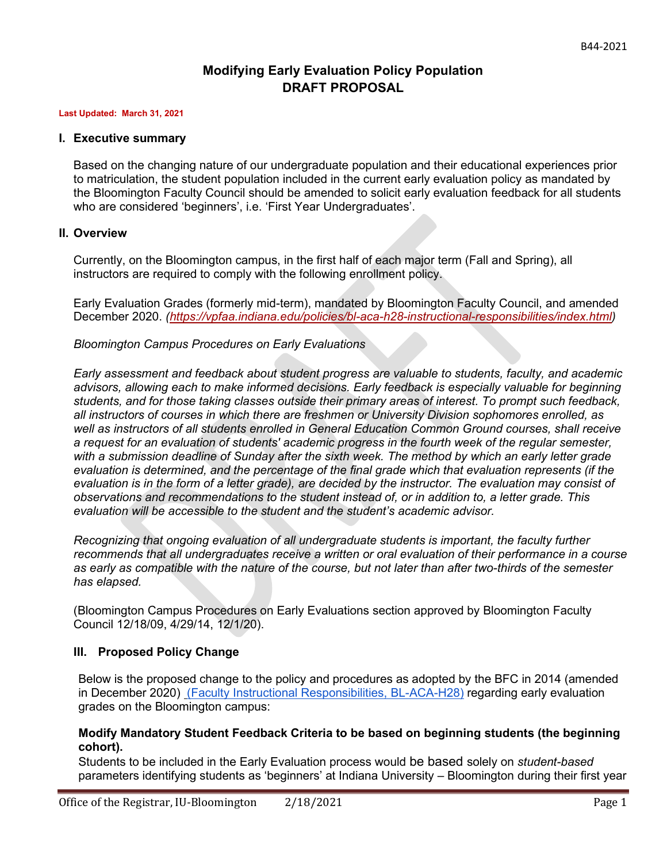# **Modifying Early Evaluation Policy Population DRAFT PROPOSAL**

#### **Last Updated: March 31, 2021**

#### **I. Executive summary**

Based on the changing nature of our undergraduate population and their educational experiences prior to matriculation, the student population included in the current early evaluation policy as mandated by the Bloomington Faculty Council should be amended to solicit early evaluation feedback for all students who are considered 'beginners', i.e. 'First Year Undergraduates'.

#### **II. Overview**

Currently, on the Bloomington campus, in the first half of each major term (Fall and Spring), all instructors are required to comply with the following enrollment policy.

Early Evaluation Grades (formerly mid-term), mandated by Bloomington Faculty Council, and amended December 2020. *[\(https://vpfaa.indiana.edu/policies/bl-aca-h28-instructional-responsibilities/index.html\)](https://vpfaa.indiana.edu/policies/bl-aca-h28-instructional-responsibilities/index.html)* 

### *Bloomington Campus Procedures on Early Evaluations*

*Early assessment and feedback about student progress are valuable to students, faculty, and academic advisors, allowing each to make informed decisions. Early feedback is especially valuable for beginning students, and for those taking classes outside their primary areas of interest. To prompt such feedback, all instructors of courses in which there are freshmen or University Division sophomores enrolled, as well as instructors of all students enrolled in General Education Common Ground courses, shall receive a request for an evaluation of students' academic progress in the fourth week of the regular semester, with a submission deadline of Sunday after the sixth week. The method by which an early letter grade evaluation is determined, and the percentage of the final grade which that evaluation represents (if the evaluation is in the form of a letter grade), are decided by the instructor. The evaluation may consist of observations and recommendations to the student instead of, or in addition to, a letter grade. This evaluation will be accessible to the student and the student's academic advisor.*

*Recognizing that ongoing evaluation of all undergraduate students is important, the faculty further recommends that all undergraduates receive a written or oral evaluation of their performance in a course as early as compatible with the nature of the course, but not later than after two-thirds of the semester has elapsed.*

(Bloomington Campus Procedures on Early Evaluations section approved by Bloomington Faculty Council 12/18/09, 4/29/14, 12/1/20).

### **III. Proposed Policy Change**

Below is the proposed change to the policy and procedures as adopted by the BFC in 2014 (amended in December 2020) [\(Faculty Instructional Responsibilities, BL-ACA-H28\)](https://vpfaa.indiana.edu/policies/bl-aca-h28-instructional-responsibilities/index.html) regarding early evaluation grades on the Bloomington campus:

#### **Modify Mandatory Student Feedback Criteria to be based on beginning students (the beginning cohort).**

Students to be included in the Early Evaluation process would be based solely on *student-based*  parameters identifying students as 'beginners' at Indiana University – Bloomington during their first year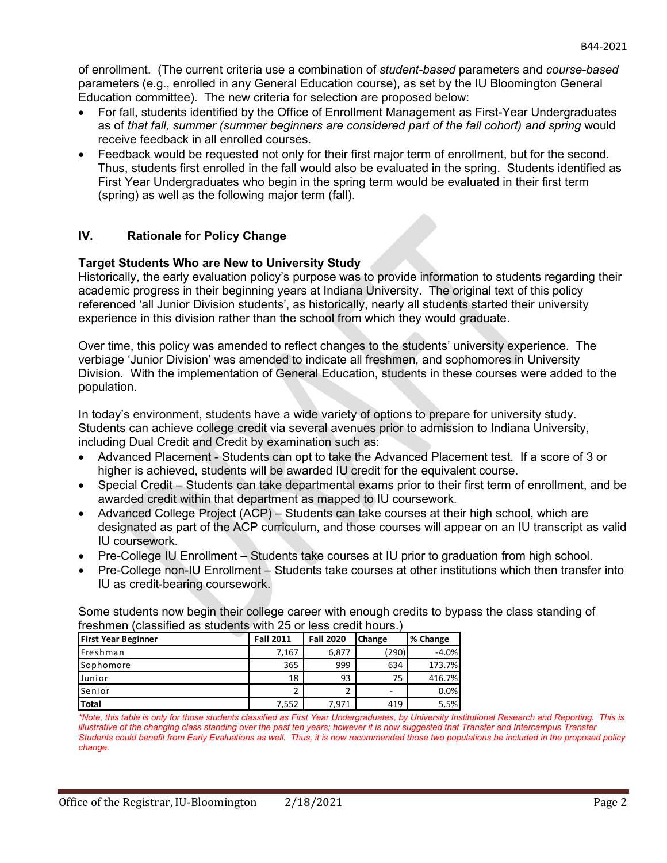of enrollment. (The current criteria use a combination of *student-based* parameters and *course-based*  parameters (e.g., enrolled in any General Education course), as set by the IU Bloomington General Education committee). The new criteria for selection are proposed below:

- For fall, students identified by the Office of Enrollment Management as First-Year Undergraduates as of *that fall, summer (summer beginners are considered part of the fall cohort) and spring* would receive feedback in all enrolled courses.
- Feedback would be requested not only for their first major term of enrollment, but for the second. Thus, students first enrolled in the fall would also be evaluated in the spring. Students identified as First Year Undergraduates who begin in the spring term would be evaluated in their first term (spring) as well as the following major term (fall).

## **IV. Rationale for Policy Change**

#### **Target Students Who are New to University Study**

Historically, the early evaluation policy's purpose was to provide information to students regarding their academic progress in their beginning years at Indiana University. The original text of this policy referenced 'all Junior Division students', as historically, nearly all students started their university experience in this division rather than the school from which they would graduate.

Over time, this policy was amended to reflect changes to the students' university experience. The verbiage 'Junior Division' was amended to indicate all freshmen, and sophomores in University Division. With the implementation of General Education, students in these courses were added to the population.

In today's environment, students have a wide variety of options to prepare for university study. Students can achieve college credit via several avenues prior to admission to Indiana University, including Dual Credit and Credit by examination such as:

- Advanced Placement Students can opt to take the Advanced Placement test. If a score of 3 or higher is achieved, students will be awarded IU credit for the equivalent course.
- Special Credit Students can take departmental exams prior to their first term of enrollment, and be awarded credit within that department as mapped to IU coursework.
- Advanced College Project (ACP) Students can take courses at their high school, which are designated as part of the ACP curriculum, and those courses will appear on an IU transcript as valid IU coursework.
- Pre-College IU Enrollment Students take courses at IU prior to graduation from high school.
- Pre-College non-IU Enrollment Students take courses at other institutions which then transfer into IU as credit-bearing coursework.

Some students now begin their college career with enough credits to bypass the class standing of freshmen (classified as students with 25 or less credit hours.)

| <b>First Year Beginner</b> | <b>Fall 2011</b> | <b>Fall 2020</b> | Change | % Change |
|----------------------------|------------------|------------------|--------|----------|
| <b>IFreshman</b>           | 7.167            | 6,877            | (290)  | $-4.0%$  |
| Sophomore                  | 365              | 999              | 634    | 173.7%   |
| Junior                     | 18               | 93               | 75     | 416.7%   |
| lSenior                    |                  |                  | -      | 0.0%     |
| <b>Total</b>               | 7,552            | 7,971            | 419    | 5.5%     |

*<sup>\*</sup>Note, this table is only for those students classified as First Year Undergraduates, by University Institutional Research and Reporting. This is illustrative of the changing class standing over the past ten years; however it is now suggested that Transfer and Intercampus Transfer Students could benefit from Early Evaluations as well. Thus, it is now recommended those two populations be included in the proposed policy change.*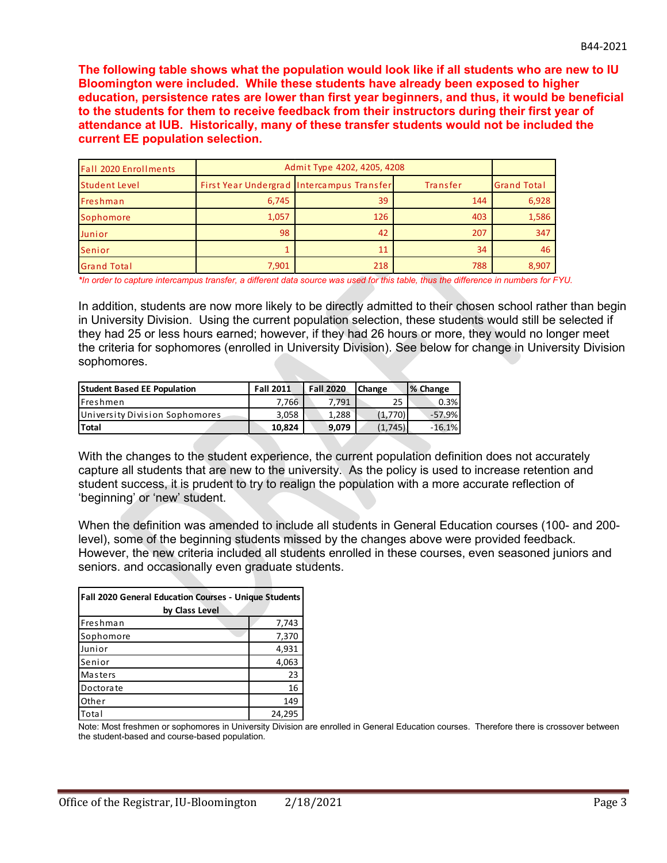**The following table shows what the population would look like if all students who are new to IU Bloomington were included. While these students have already been exposed to higher education, persistence rates are lower than first year beginners, and thus, it would be beneficial to the students for them to receive feedback from their instructors during their first year of attendance at IUB. Historically, many of these transfer students would not be included the current EE population selection.**

| <b>Fall 2020 Enrollments</b> | Admit Type 4202, 4205, 4208 |                                           |          |                    |
|------------------------------|-----------------------------|-------------------------------------------|----------|--------------------|
| Student Level                |                             | First Year Undergrad Intercampus Transfer | Transfer | <b>Grand Total</b> |
| Freshman                     | 6,745                       | 39                                        | 144      | 6,928              |
| Sophomore                    | 1,057                       | 126                                       | 403      | 1,586              |
| Junior                       | 98                          | 42                                        | 207      | 347                |
| Senior                       |                             | 11                                        | 34       | 46                 |
| <b>Grand Total</b>           | 7,901                       | 218                                       | 788      | 8,907              |

*\*In order to capture intercampus transfer, a different data source was used for this table, thus the difference in numbers for FYU.*

In addition, students are now more likely to be directly admitted to their chosen school rather than begin in University Division. Using the current population selection, these students would still be selected if they had 25 or less hours earned; however, if they had 26 hours or more, they would no longer meet the criteria for sophomores (enrolled in University Division). See below for change in University Division sophomores.

| <b>Student Based EE Population</b> | <b>Fall 2011</b> | <b>Fall 2020</b> | <b>Change</b> | % Change |
|------------------------------------|------------------|------------------|---------------|----------|
| <b>IFreshmen</b>                   | 7.766            | 7.791            | 25            | 0.3%     |
| University Division Sophomores     | 3,058            | 1.288            | (1,770)       | -57.9%   |
| l Total                            | 10.824           | 9.079            | (1,745)       | $-16.1%$ |

With the changes to the student experience, the current population definition does not accurately capture all students that are new to the university. As the policy is used to increase retention and student success, it is prudent to try to realign the population with a more accurate reflection of 'beginning' or 'new' student.

When the definition was amended to include all students in General Education courses (100- and 200 level), some of the beginning students missed by the changes above were provided feedback. However, the new criteria included all students enrolled in these courses, even seasoned juniors and seniors. and occasionally even graduate students.

| <b>Fall 2020 General Education Courses - Unique Students</b><br>by Class Level |        |  |
|--------------------------------------------------------------------------------|--------|--|
| Freshman                                                                       | 7,743  |  |
| Sophomore                                                                      | 7,370  |  |
| Junior                                                                         | 4,931  |  |
| Senior                                                                         | 4,063  |  |
| Masters                                                                        | 23     |  |
| Doctorate                                                                      | 16     |  |
| Other                                                                          | 149    |  |
| Total                                                                          | 24,295 |  |

Note: Most freshmen or sophomores in University Division are enrolled in General Education courses. Therefore there is crossover between the student-based and course-based population.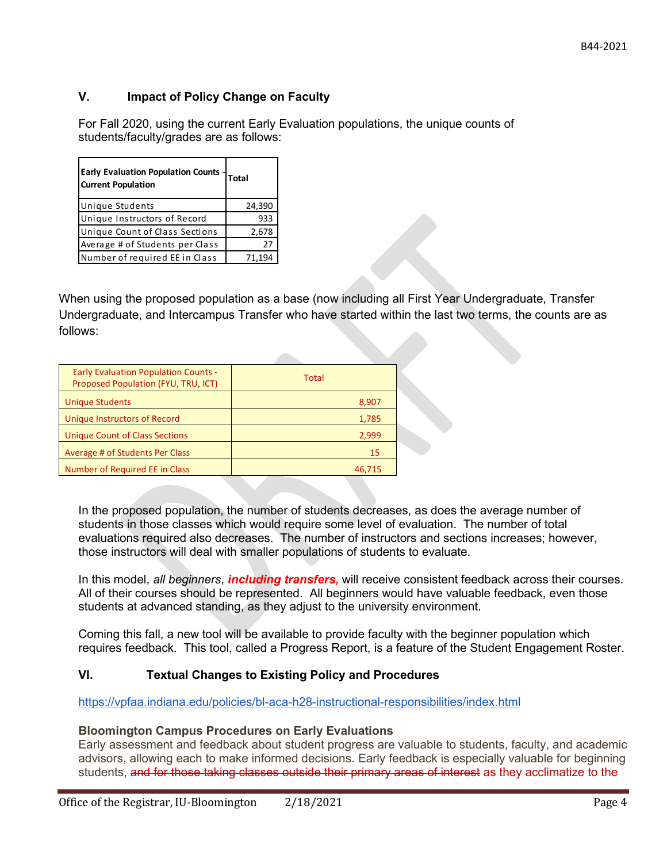# **V. Impact of Policy Change on Faculty**

For Fall 2020, using the current Early Evaluation populations, the unique counts of students/faculty/grades are as follows:

| <b>Early Evaluation Population Counts -</b><br><b>Current Population</b> | Total  |
|--------------------------------------------------------------------------|--------|
| <b>Unique Students</b>                                                   | 24,390 |
| Unique Instructors of Record                                             | 933    |
| Unique Count of Class Sections                                           | 2,678  |
| Average # of Students per Class                                          | 27     |
| Number of required EE in Class                                           | 71.194 |

When using the proposed population as a base (now including all First Year Undergraduate, Transfer Undergraduate, and Intercampus Transfer who have started within the last two terms, the counts are as follows:

| <b>Early Evaluation Population Counts -</b><br>Proposed Population (FYU, TRU, ICT) | Total  |
|------------------------------------------------------------------------------------|--------|
| <b>Unique Students</b>                                                             | 8,907  |
| Unique Instructors of Record                                                       | 1,785  |
| <b>Unique Count of Class Sections</b>                                              | 2,999  |
| Average # of Students Per Class                                                    | 15     |
| Number of Required EE in Class                                                     | 46,715 |

In the proposed population, the number of students decreases, as does the average number of students in those classes which would require some level of evaluation. The number of total evaluations required also decreases. The number of instructors and sections increases; however, those instructors will deal with smaller populations of students to evaluate.

In this model, *all beginners*, *including transfers,* will receive consistent feedback across their courses. All of their courses should be represented. All beginners would have valuable feedback, even those students at advanced standing, as they adjust to the university environment.

Coming this fall, a new tool will be available to provide faculty with the beginner population which requires feedback. This tool, called a Progress Report, is a feature of the Student Engagement Roster.

### **VI. Textual Changes to Existing Policy and Procedures**

<https://vpfaa.indiana.edu/policies/bl-aca-h28-instructional-responsibilities/index.html>

### **Bloomington Campus Procedures on Early Evaluations**

Early assessment and feedback about student progress are valuable to students, faculty, and academic advisors, allowing each to make informed decisions. Early feedback is especially valuable for beginning students, and for those taking classes outside their primary areas of interest as they acclimatize to the